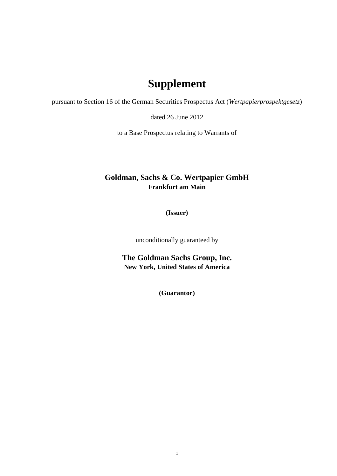## **Supplement**

pursuant to Section 16 of the German Securities Prospectus Act (*Wertpapierprospektgesetz*)

dated 26 June 2012

to a Base Prospectus relating to Warrants of

## **Goldman, Sachs & Co. Wertpapier GmbH Frankfurt am Main**

**(Issuer)**

unconditionally guaranteed by

**The Goldman Sachs Group, Inc. New York, United States of America**

**(Guarantor)**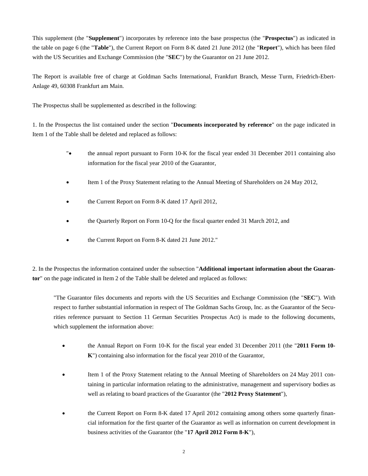This supplement (the "**Supplement**") incorporates by reference into the base prospectus (the "**Prospectus**") as indicated in the table on page 6 (the "**Table**"), the Current Report on Form 8-K dated 21 June 2012 (the "**Report**"), which has been filed with the US Securities and Exchange Commission (the "**SEC**") by the Guarantor on 21 June 2012.

The Report is available free of charge at Goldman Sachs International, Frankfurt Branch, Messe Turm, Friedrich-Ebert-Anlage 49, 60308 Frankfurt am Main.

The Prospectus shall be supplemented as described in the following:

1. In the Prospectus the list contained under the section "**Documents incorporated by reference**" on the page indicated in Item 1 of the Table shall be deleted and replaced as follows:

- "• the annual report pursuant to Form 10-K for the fiscal year ended 31 December 2011 containing also information for the fiscal year 2010 of the Guarantor,
- Item 1 of the Proxy Statement relating to the Annual Meeting of Shareholders on 24 May 2012,
- the Current Report on Form 8-K dated 17 April 2012,
- the Quarterly Report on Form 10-Q for the fiscal quarter ended 31 March 2012, and
- the Current Report on Form 8-K dated 21 June 2012."

2. In the Prospectus the information contained under the subsection "**Additional important information about the Guarantor**" on the page indicated in Item 2 of the Table shall be deleted and replaced as follows:

"The Guarantor files documents and reports with the US Securities and Exchange Commission (the "**SEC**"). With respect to further substantial information in respect of The Goldman Sachs Group, Inc. as the Guarantor of the Securities reference pursuant to Section 11 German Securities Prospectus Act) is made to the following documents, which supplement the information above:

- the Annual Report on Form 10-K for the fiscal year ended 31 December 2011 (the "**2011 Form 10- K**") containing also information for the fiscal year 2010 of the Guarantor,
- Item 1 of the Proxy Statement relating to the Annual Meeting of Shareholders on 24 May 2011 containing in particular information relating to the administrative, management and supervisory bodies as well as relating to board practices of the Guarantor (the "**2012 Proxy Statement**"),
- the Current Report on Form 8-K dated 17 April 2012 containing among others some quarterly financial information for the first quarter of the Guarantor as well as information on current development in business activities of the Guarantor (the "**17 April 2012 Form 8-K**"),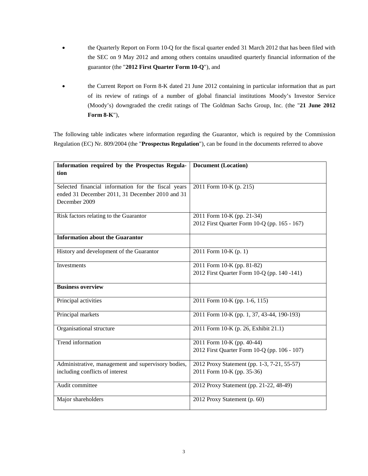- the Quarterly Report on Form 10-Q for the fiscal quarter ended 31 March 2012 that has been filed with the SEC on 9 May 2012 and among others contains unaudited quarterly financial information of the guarantor (the "**2012 First Quarter Form 10-Q**"), and
- the Current Report on Form 8-K dated 21 June 2012 containing in particular information that as part of its review of ratings of a number of global financial institutions Moody's Investor Service (Moody's) downgraded the credit ratings of The Goldman Sachs Group, Inc. (the "**21 June 2012 Form 8-K**"),

The following table indicates where information regarding the Guarantor, which is required by the Commission Regulation (EC) Nr. 809/2004 (the "**Prospectus Regulation**"), can be found in the documents referred to above

| Information required by the Prospectus Regula-                                                                          | <b>Document</b> (Location)                                                 |  |  |  |
|-------------------------------------------------------------------------------------------------------------------------|----------------------------------------------------------------------------|--|--|--|
| tion                                                                                                                    |                                                                            |  |  |  |
| Selected financial information for the fiscal years<br>ended 31 December 2011, 31 December 2010 and 31<br>December 2009 | 2011 Form 10-K (p. 215)                                                    |  |  |  |
| Risk factors relating to the Guarantor                                                                                  | 2011 Form 10-K (pp. 21-34)<br>2012 First Quarter Form 10-Q (pp. 165 - 167) |  |  |  |
| <b>Information about the Guarantor</b>                                                                                  |                                                                            |  |  |  |
| History and development of the Guarantor                                                                                | 2011 Form 10-K (p. 1)                                                      |  |  |  |
| Investments                                                                                                             | 2011 Form 10-K (pp. 81-82)<br>2012 First Quarter Form 10-Q (pp. 140 -141)  |  |  |  |
| <b>Business overview</b>                                                                                                |                                                                            |  |  |  |
| Principal activities                                                                                                    | 2011 Form 10-K (pp. 1-6, 115)                                              |  |  |  |
| Principal markets                                                                                                       | 2011 Form 10-K (pp. 1, 37, 43-44, 190-193)                                 |  |  |  |
| Organisational structure                                                                                                | 2011 Form 10-K (p. 26, Exhibit 21.1)                                       |  |  |  |
| Trend information                                                                                                       | 2011 Form 10-K (pp. 40-44)<br>2012 First Quarter Form 10-Q (pp. 106 - 107) |  |  |  |
| Administrative, management and supervisory bodies,<br>including conflicts of interest                                   | 2012 Proxy Statement (pp. 1-3, 7-21, 55-57)<br>2011 Form 10-K (pp. 35-36)  |  |  |  |
| Audit committee                                                                                                         | 2012 Proxy Statement (pp. 21-22, 48-49)                                    |  |  |  |
| Major shareholders                                                                                                      | 2012 Proxy Statement (p. 60)                                               |  |  |  |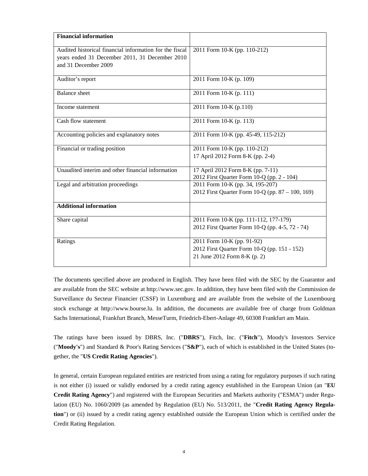| <b>Financial information</b>                                                                                                      |                                                                                                            |  |  |  |  |
|-----------------------------------------------------------------------------------------------------------------------------------|------------------------------------------------------------------------------------------------------------|--|--|--|--|
| Audited historical financial information for the fiscal<br>years ended 31 December 2011, 31 December 2010<br>and 31 December 2009 | 2011 Form 10-K (pp. 110-212)                                                                               |  |  |  |  |
| Auditor's report                                                                                                                  | 2011 Form 10-K (p. 109)                                                                                    |  |  |  |  |
| <b>Balance</b> sheet                                                                                                              | 2011 Form 10-K (p. 111)                                                                                    |  |  |  |  |
| Income statement                                                                                                                  | 2011 Form 10-K (p.110)                                                                                     |  |  |  |  |
| Cash flow statement                                                                                                               | 2011 Form 10-K (p. 113)                                                                                    |  |  |  |  |
| Accounting policies and explanatory notes                                                                                         | 2011 Form 10-K (pp. 45-49, 115-212)                                                                        |  |  |  |  |
| Financial or trading position                                                                                                     | 2011 Form 10-K (pp. 110-212)<br>17 April 2012 Form 8-K (pp. 2-4)                                           |  |  |  |  |
| Unaudited interim and other financial information                                                                                 | 17 April 2012 Form 8-K (pp. 7-11)<br>2012 First Quarter Form 10-Q (pp. 2 - 104)                            |  |  |  |  |
| Legal and arbitration proceedings                                                                                                 | 2011 Form 10-K (pp. 34, 195-207)<br>2012 First Quarter Form 10-Q (pp. 87 – 100, 169)                       |  |  |  |  |
| <b>Additional information</b>                                                                                                     |                                                                                                            |  |  |  |  |
| Share capital                                                                                                                     | 2011 Form 10-K (pp. 111-112, 177-179)<br>2012 First Quarter Form 10-Q (pp. 4-5, 72 - 74)                   |  |  |  |  |
| Ratings                                                                                                                           | 2011 Form 10-K (pp. 91-92)<br>2012 First Quarter Form 10-Q (pp. 151 - 152)<br>21 June 2012 Form 8-K (p. 2) |  |  |  |  |

The documents specified above are produced in English. They have been filed with the SEC by the Guarantor and are available from the SEC website at http://www.sec.gov. In addition, they have been filed with the Commission de Surveillance du Secteur Financier (CSSF) in Luxemburg and are available from the website of the Luxembourg stock exchange at http://www.bourse.lu. In addition, the documents are available free of charge from Goldman Sachs International, Frankfurt Branch, MesseTurm, Friedrich-Ebert-Anlage 49, 60308 Frankfurt am Main.

The ratings have been issued by DBRS, Inc. ("**DBRS**"), Fitch, Inc. ("**Fitch**"), Moody's Investors Service ("**Moody's**") and Standard & Poor's Rating Services ("**S&P**"), each of which is established in the United States (together, the "**US Credit Rating Agencies**").

In general, certain European regulated entities are restricted from using a rating for regulatory purposes if such rating is not either (i) issued or validly endorsed by a credit rating agency established in the European Union (an "**EU Credit Rating Agency**") and registered with the European Securities and Markets authority ("ESMA") under Regulation (EU) No. 1060/2009 (as amended by Regulation (EU) No. 513/2011, the "**Credit Rating Agency Regulation**") or (ii) issued by a credit rating agency established outside the European Union which is certified under the Credit Rating Regulation.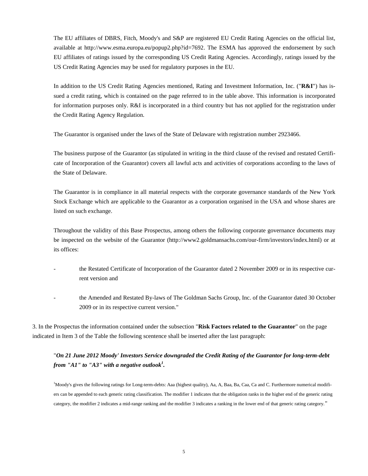The EU affiliates of DBRS, Fitch, Moody's and S&P are registered EU Credit Rating Agencies on the official list, availableat [http://www.esma.europa.eu/popup2.php?id=7692.](http://www.esma.europa.eu/popup2.php?id=7692) The ESMA has approved the endorsement by such EU affiliates of ratings issued by the corresponding US Credit Rating Agencies. Accordingly, ratings issued by the US Credit Rating Agencies may be used for regulatory purposes in the EU.

In addition to the US Credit Rating Agencies mentioned, Rating and Investment Information, Inc. ("**R&I**") has issued a credit rating, which is contained on the page referred to in the table above. This information is incorporated for information purposes only. R&I is incorporated in a third country but has not applied for the registration under the Credit Rating Agency Regulation.

The Guarantor is organised under the laws of the State of Delaware with registration number 2923466.

The business purpose of the Guarantor (as stipulated in writing in the third clause of the revised and restated Certificate of Incorporation of the Guarantor) covers all lawful acts and activities of corporations according to the laws of the State of Delaware.

The Guarantor is in compliance in all material respects with the corporate governance standards of the New York Stock Exchange which are applicable to the Guarantor as a corporation organised in the USA and whose shares are listed on such exchange.

Throughout the validity of this Base Prospectus, among others the following corporate governance documents may be inspected on the website of the Guarantor (http://www2.goldmansachs.com/our-firm/investors/index.html) or at its offices:

- the Restated Certificate of Incorporation of the Guarantor dated 2 November 2009 or in its respective current version and
- the Amended and Restated By-laws of The Goldman Sachs Group, Inc. of the Guarantor dated 30 October 2009 or in its respective current version."

3. In the Prospectus the information contained under the subsection "**Risk Factors related to the Guarantor**" on the page indicated in Item 3 of the Table the following scentence shall be inserted after the last paragraph:

## "*On 21 June 2012 Moody' Investors Service downgraded the Credit Rating of the Guarantor for long-term-debt from "A1" to "A3" with a negative outlook<sup>1</sup> .*

<sup>1</sup>Moody's gives the following ratings for Long-term-debts: Aaa (highest quality), Aa, A, Baa, Ba, Caa, Ca and C. Furthermore numerical modifiers can be appended to each generic rating classification. The modifier 1 indicates that the obligation ranks in the higher end of the generic rating category, the modifier 2 indicates a mid-range ranking and the modifier 3 indicates a ranking in the lower end of that generic rating category."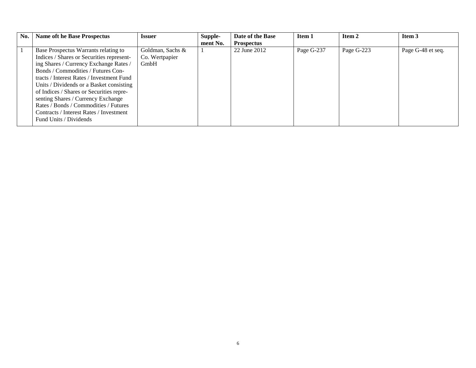| No. | <b>Name oft he Base Prospectus</b>                                                                                                                                                                                                                                                                                                                                                                                                                         | <b>Issuer</b>                              | Supple-<br>ment No. | Date of the Base<br><b>Prospectus</b> | Item 1     | Item 2     | Item 3            |
|-----|------------------------------------------------------------------------------------------------------------------------------------------------------------------------------------------------------------------------------------------------------------------------------------------------------------------------------------------------------------------------------------------------------------------------------------------------------------|--------------------------------------------|---------------------|---------------------------------------|------------|------------|-------------------|
|     | Base Prospectus Warrants relating to<br>Indices / Shares or Securities represent-<br>ing Shares / Currency Exchange Rates /<br>Bonds / Commodities / Futures Con-<br>tracts / Interest Rates / Investment Fund<br>Units / Dividends or a Basket consisting<br>of Indices / Shares or Securities repre-<br>senting Shares / Currency Exchange<br>Rates / Bonds / Commodities / Futures<br>Contracts / Interest Rates / Investment<br>Fund Units / Dividends | Goldman, Sachs &<br>Co. Wertpapier<br>GmbH |                     | 22 June 2012                          | Page G-237 | Page G-223 | Page G-48 et seq. |